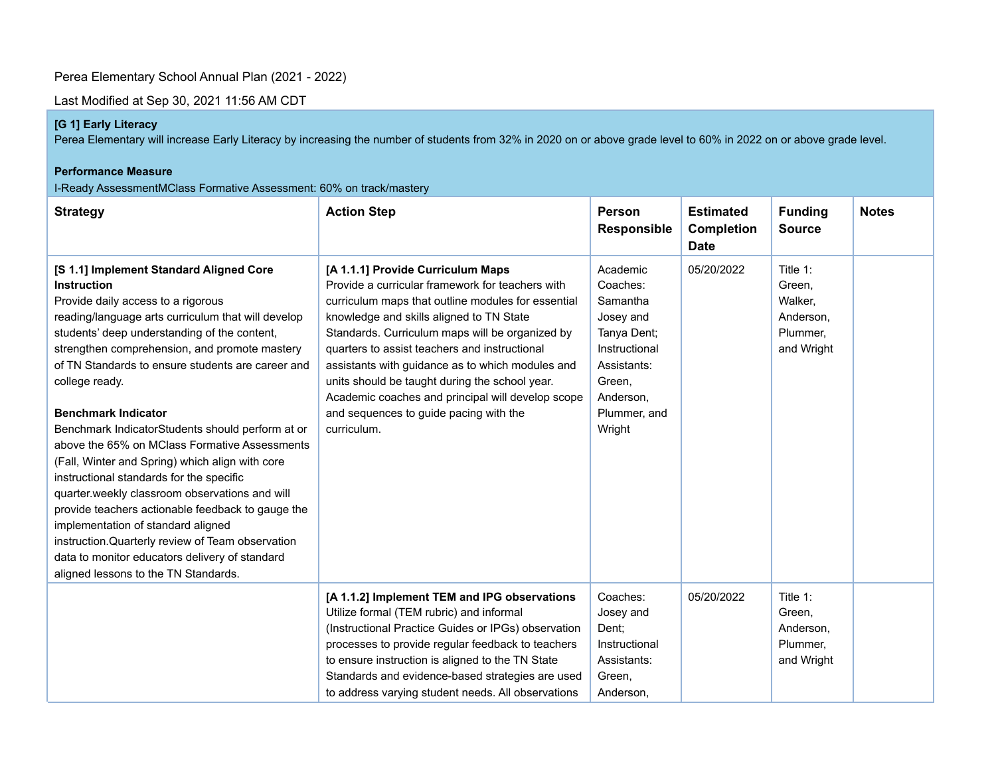## Perea Elementary School Annual Plan (2021 - 2022)

Last Modified at Sep 30, 2021 11:56 AM CDT

## **[G 1] Early Literacy**

Perea Elementary will increase Early Literacy by increasing the number of students from 32% in 2020 on or above grade level to 60% in 2022 on or above grade level.

## **Performance Measure**

I-Ready AssessmentMClass Formative Assessment: 60% on track/mastery

| <b>Strategy</b>                                                                                                                                                                                                                                                                                                                                                                                                                                                                                                                                                                                                                                                                                                                                                                                                                                                 | <b>Action Step</b>                                                                                                                                                                                                                                                                                                                                                                                                                                                                                              | <b>Person</b><br><b>Responsible</b>                                                                                                           | <b>Estimated</b><br><b>Completion</b><br><b>Date</b> | <b>Funding</b><br><b>Source</b>                                      | <b>Notes</b> |
|-----------------------------------------------------------------------------------------------------------------------------------------------------------------------------------------------------------------------------------------------------------------------------------------------------------------------------------------------------------------------------------------------------------------------------------------------------------------------------------------------------------------------------------------------------------------------------------------------------------------------------------------------------------------------------------------------------------------------------------------------------------------------------------------------------------------------------------------------------------------|-----------------------------------------------------------------------------------------------------------------------------------------------------------------------------------------------------------------------------------------------------------------------------------------------------------------------------------------------------------------------------------------------------------------------------------------------------------------------------------------------------------------|-----------------------------------------------------------------------------------------------------------------------------------------------|------------------------------------------------------|----------------------------------------------------------------------|--------------|
| [S 1.1] Implement Standard Aligned Core<br><b>Instruction</b><br>Provide daily access to a rigorous<br>reading/language arts curriculum that will develop<br>students' deep understanding of the content,<br>strengthen comprehension, and promote mastery<br>of TN Standards to ensure students are career and<br>college ready.<br><b>Benchmark Indicator</b><br>Benchmark IndicatorStudents should perform at or<br>above the 65% on MClass Formative Assessments<br>(Fall, Winter and Spring) which align with core<br>instructional standards for the specific<br>quarter.weekly classroom observations and will<br>provide teachers actionable feedback to gauge the<br>implementation of standard aligned<br>instruction. Quarterly review of Team observation<br>data to monitor educators delivery of standard<br>aligned lessons to the TN Standards. | [A 1.1.1] Provide Curriculum Maps<br>Provide a curricular framework for teachers with<br>curriculum maps that outline modules for essential<br>knowledge and skills aligned to TN State<br>Standards. Curriculum maps will be organized by<br>quarters to assist teachers and instructional<br>assistants with guidance as to which modules and<br>units should be taught during the school year.<br>Academic coaches and principal will develop scope<br>and sequences to guide pacing with the<br>curriculum. | Academic<br>Coaches:<br>Samantha<br>Josey and<br>Tanya Dent;<br>Instructional<br>Assistants:<br>Green,<br>Anderson,<br>Plummer, and<br>Wright | 05/20/2022                                           | Title 1:<br>Green,<br>Walker,<br>Anderson.<br>Plummer,<br>and Wright |              |
|                                                                                                                                                                                                                                                                                                                                                                                                                                                                                                                                                                                                                                                                                                                                                                                                                                                                 | [A 1.1.2] Implement TEM and IPG observations<br>Utilize formal (TEM rubric) and informal<br>(Instructional Practice Guides or IPGs) observation<br>processes to provide regular feedback to teachers<br>to ensure instruction is aligned to the TN State<br>Standards and evidence-based strategies are used<br>to address varying student needs. All observations                                                                                                                                              | Coaches:<br>Josey and<br>Dent:<br>Instructional<br>Assistants:<br>Green,<br>Anderson,                                                         | 05/20/2022                                           | Title $1$ :<br>Green,<br>Anderson,<br>Plummer,<br>and Wright         |              |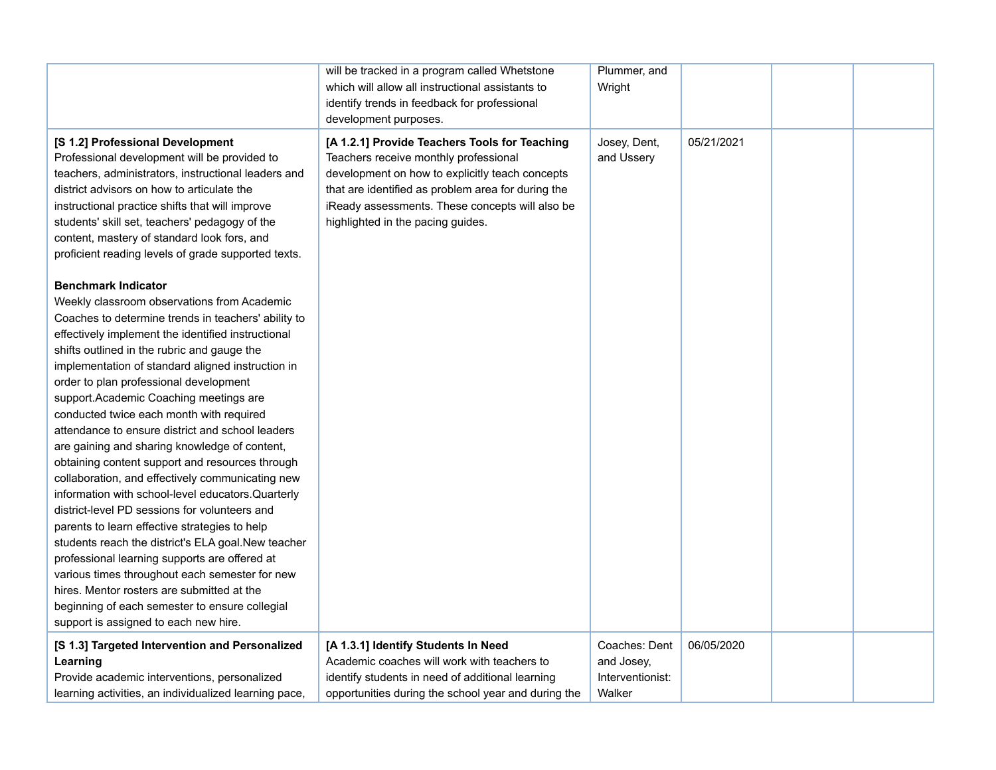|                                                                                                                                                                                                                                                                                                                                                                                                                                                                                                                                                                                                                                                                                                                                                                                                                                                                                                                                                                                                                                                                                                    | will be tracked in a program called Whetstone<br>which will allow all instructional assistants to<br>identify trends in feedback for professional<br>development purposes.                                                                                                              | Plummer, and<br>Wright     |            |  |
|----------------------------------------------------------------------------------------------------------------------------------------------------------------------------------------------------------------------------------------------------------------------------------------------------------------------------------------------------------------------------------------------------------------------------------------------------------------------------------------------------------------------------------------------------------------------------------------------------------------------------------------------------------------------------------------------------------------------------------------------------------------------------------------------------------------------------------------------------------------------------------------------------------------------------------------------------------------------------------------------------------------------------------------------------------------------------------------------------|-----------------------------------------------------------------------------------------------------------------------------------------------------------------------------------------------------------------------------------------------------------------------------------------|----------------------------|------------|--|
| [S 1.2] Professional Development<br>Professional development will be provided to<br>teachers, administrators, instructional leaders and<br>district advisors on how to articulate the<br>instructional practice shifts that will improve<br>students' skill set, teachers' pedagogy of the<br>content, mastery of standard look fors, and<br>proficient reading levels of grade supported texts.                                                                                                                                                                                                                                                                                                                                                                                                                                                                                                                                                                                                                                                                                                   | [A 1.2.1] Provide Teachers Tools for Teaching<br>Teachers receive monthly professional<br>development on how to explicitly teach concepts<br>that are identified as problem area for during the<br>iReady assessments. These concepts will also be<br>highlighted in the pacing guides. | Josey, Dent,<br>and Ussery | 05/21/2021 |  |
| <b>Benchmark Indicator</b><br>Weekly classroom observations from Academic<br>Coaches to determine trends in teachers' ability to<br>effectively implement the identified instructional<br>shifts outlined in the rubric and gauge the<br>implementation of standard aligned instruction in<br>order to plan professional development<br>support. Academic Coaching meetings are<br>conducted twice each month with required<br>attendance to ensure district and school leaders<br>are gaining and sharing knowledge of content,<br>obtaining content support and resources through<br>collaboration, and effectively communicating new<br>information with school-level educators. Quarterly<br>district-level PD sessions for volunteers and<br>parents to learn effective strategies to help<br>students reach the district's ELA goal. New teacher<br>professional learning supports are offered at<br>various times throughout each semester for new<br>hires. Mentor rosters are submitted at the<br>beginning of each semester to ensure collegial<br>support is assigned to each new hire. |                                                                                                                                                                                                                                                                                         |                            |            |  |
| [S 1.3] Targeted Intervention and Personalized                                                                                                                                                                                                                                                                                                                                                                                                                                                                                                                                                                                                                                                                                                                                                                                                                                                                                                                                                                                                                                                     | [A 1.3.1] Identify Students In Need                                                                                                                                                                                                                                                     | Coaches: Dent              | 06/05/2020 |  |
| Learning                                                                                                                                                                                                                                                                                                                                                                                                                                                                                                                                                                                                                                                                                                                                                                                                                                                                                                                                                                                                                                                                                           | Academic coaches will work with teachers to                                                                                                                                                                                                                                             | and Josey,                 |            |  |
| Provide academic interventions, personalized<br>learning activities, an individualized learning pace,                                                                                                                                                                                                                                                                                                                                                                                                                                                                                                                                                                                                                                                                                                                                                                                                                                                                                                                                                                                              | identify students in need of additional learning<br>opportunities during the school year and during the                                                                                                                                                                                 | Interventionist:<br>Walker |            |  |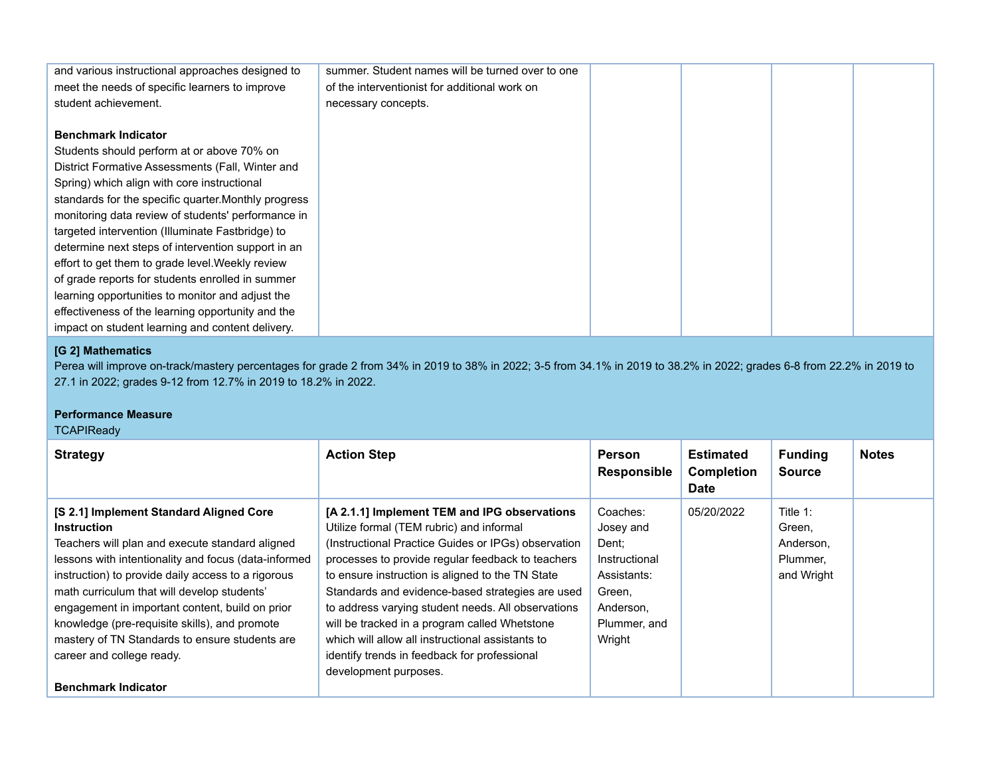| and various instructional approaches designed to<br>meet the needs of specific learners to improve<br>student achievement.                                                                                                                                                                                                                                                                          | summer. Student names will be turned over to one<br>of the interventionist for additional work on<br>necessary concepts. |  |  |
|-----------------------------------------------------------------------------------------------------------------------------------------------------------------------------------------------------------------------------------------------------------------------------------------------------------------------------------------------------------------------------------------------------|--------------------------------------------------------------------------------------------------------------------------|--|--|
| <b>Benchmark Indicator</b><br>Students should perform at or above 70% on<br>District Formative Assessments (Fall, Winter and<br>Spring) which align with core instructional<br>standards for the specific quarter. Monthly progress<br>monitoring data review of students' performance in<br>targeted intervention (Illuminate Fastbridge) to<br>determine next steps of intervention support in an |                                                                                                                          |  |  |
| effort to get them to grade level. Weekly review<br>of grade reports for students enrolled in summer<br>learning opportunities to monitor and adjust the<br>effectiveness of the learning opportunity and the<br>impact on student learning and content delivery.                                                                                                                                   |                                                                                                                          |  |  |

## **[G 2] Mathematics**

Perea will improve on-track/mastery percentages for grade 2 from 34% in 2019 to 38% in 2022; 3-5 from 34.1% in 2019 to 38.2% in 2022; grades 6-8 from 22.2% in 2019 to 27.1 in 2022; grades 9-12 from 12.7% in 2019 to 18.2% in 2022.

#### **Performance Measure**

**TCAPIReady** 

| <b>Strategy</b>                                                                                                                                                                                                                                                                                                                                                                                                                                                                         | <b>Action Step</b>                                                                                                                                                                                                                                                                                                                                                                                                                                                                                                                               | <b>Person</b><br>Responsible                                                                                    | Estimated<br><b>Completion</b><br><b>Date</b> | <b>Funding</b><br><b>Source</b>                           | <b>Notes</b> |
|-----------------------------------------------------------------------------------------------------------------------------------------------------------------------------------------------------------------------------------------------------------------------------------------------------------------------------------------------------------------------------------------------------------------------------------------------------------------------------------------|--------------------------------------------------------------------------------------------------------------------------------------------------------------------------------------------------------------------------------------------------------------------------------------------------------------------------------------------------------------------------------------------------------------------------------------------------------------------------------------------------------------------------------------------------|-----------------------------------------------------------------------------------------------------------------|-----------------------------------------------|-----------------------------------------------------------|--------------|
| [S 2.1] Implement Standard Aligned Core<br>Instruction<br>Teachers will plan and execute standard aligned<br>lessons with intentionality and focus (data-informed<br>instruction) to provide daily access to a rigorous<br>math curriculum that will develop students'<br>engagement in important content, build on prior<br>knowledge (pre-requisite skills), and promote<br>mastery of TN Standards to ensure students are<br>career and college ready.<br><b>Benchmark Indicator</b> | [A 2.1.1] Implement TEM and IPG observations<br>Utilize formal (TEM rubric) and informal<br>(Instructional Practice Guides or IPGs) observation<br>processes to provide regular feedback to teachers<br>to ensure instruction is aligned to the TN State<br>Standards and evidence-based strategies are used<br>to address varying student needs. All observations<br>will be tracked in a program called Whetstone<br>which will allow all instructional assistants to<br>identify trends in feedback for professional<br>development purposes. | Coaches:<br>Josey and<br>Dent:<br>Instructional<br>Assistants:<br>Green,<br>Anderson.<br>Plummer, and<br>Wright | 05/20/2022                                    | Title 1:<br>Green,<br>Anderson,<br>Plummer,<br>and Wright |              |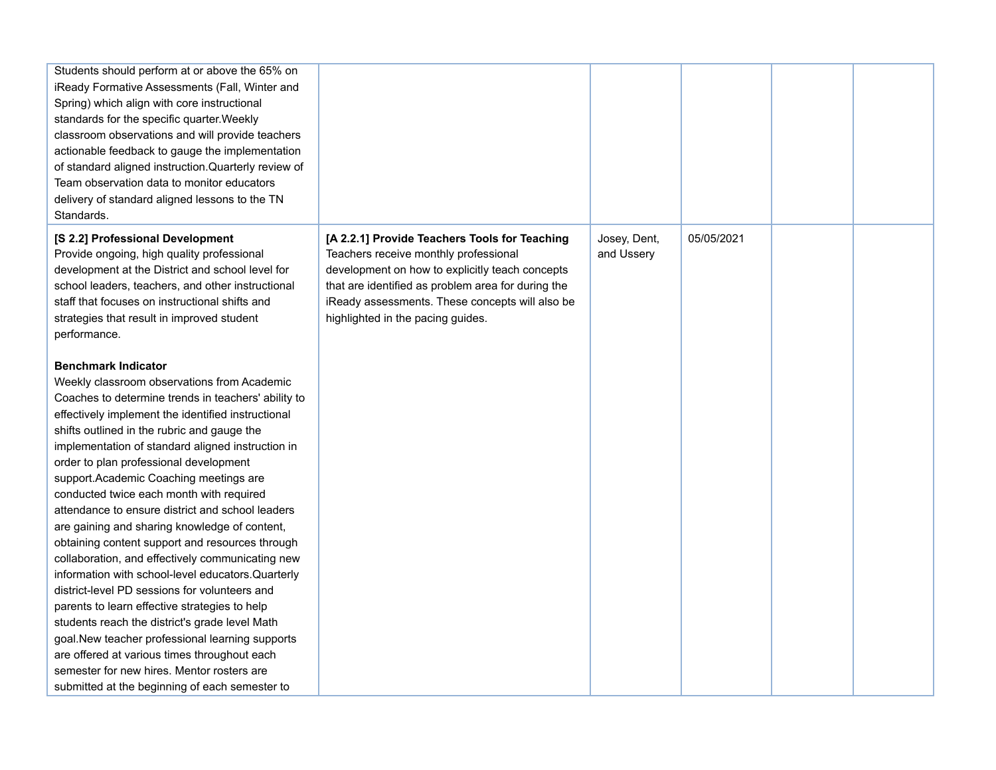| Students should perform at or above the 65% on<br>iReady Formative Assessments (Fall, Winter and<br>Spring) which align with core instructional<br>standards for the specific quarter. Weekly<br>classroom observations and will provide teachers<br>actionable feedback to gauge the implementation<br>of standard aligned instruction. Quarterly review of<br>Team observation data to monitor educators<br>delivery of standard aligned lessons to the TN<br>Standards.                                                                                                                                                                                                                                                                                                                                                                                                                                                                                                                                                                            |                                                                                                                                                                                                                                                                                         |                            |            |  |
|-------------------------------------------------------------------------------------------------------------------------------------------------------------------------------------------------------------------------------------------------------------------------------------------------------------------------------------------------------------------------------------------------------------------------------------------------------------------------------------------------------------------------------------------------------------------------------------------------------------------------------------------------------------------------------------------------------------------------------------------------------------------------------------------------------------------------------------------------------------------------------------------------------------------------------------------------------------------------------------------------------------------------------------------------------|-----------------------------------------------------------------------------------------------------------------------------------------------------------------------------------------------------------------------------------------------------------------------------------------|----------------------------|------------|--|
| [S 2.2] Professional Development<br>Provide ongoing, high quality professional<br>development at the District and school level for<br>school leaders, teachers, and other instructional<br>staff that focuses on instructional shifts and<br>strategies that result in improved student<br>performance.                                                                                                                                                                                                                                                                                                                                                                                                                                                                                                                                                                                                                                                                                                                                               | [A 2.2.1] Provide Teachers Tools for Teaching<br>Teachers receive monthly professional<br>development on how to explicitly teach concepts<br>that are identified as problem area for during the<br>iReady assessments. These concepts will also be<br>highlighted in the pacing guides. | Josey, Dent,<br>and Ussery | 05/05/2021 |  |
| <b>Benchmark Indicator</b><br>Weekly classroom observations from Academic<br>Coaches to determine trends in teachers' ability to<br>effectively implement the identified instructional<br>shifts outlined in the rubric and gauge the<br>implementation of standard aligned instruction in<br>order to plan professional development<br>support. Academic Coaching meetings are<br>conducted twice each month with required<br>attendance to ensure district and school leaders<br>are gaining and sharing knowledge of content,<br>obtaining content support and resources through<br>collaboration, and effectively communicating new<br>information with school-level educators. Quarterly<br>district-level PD sessions for volunteers and<br>parents to learn effective strategies to help<br>students reach the district's grade level Math<br>goal. New teacher professional learning supports<br>are offered at various times throughout each<br>semester for new hires. Mentor rosters are<br>submitted at the beginning of each semester to |                                                                                                                                                                                                                                                                                         |                            |            |  |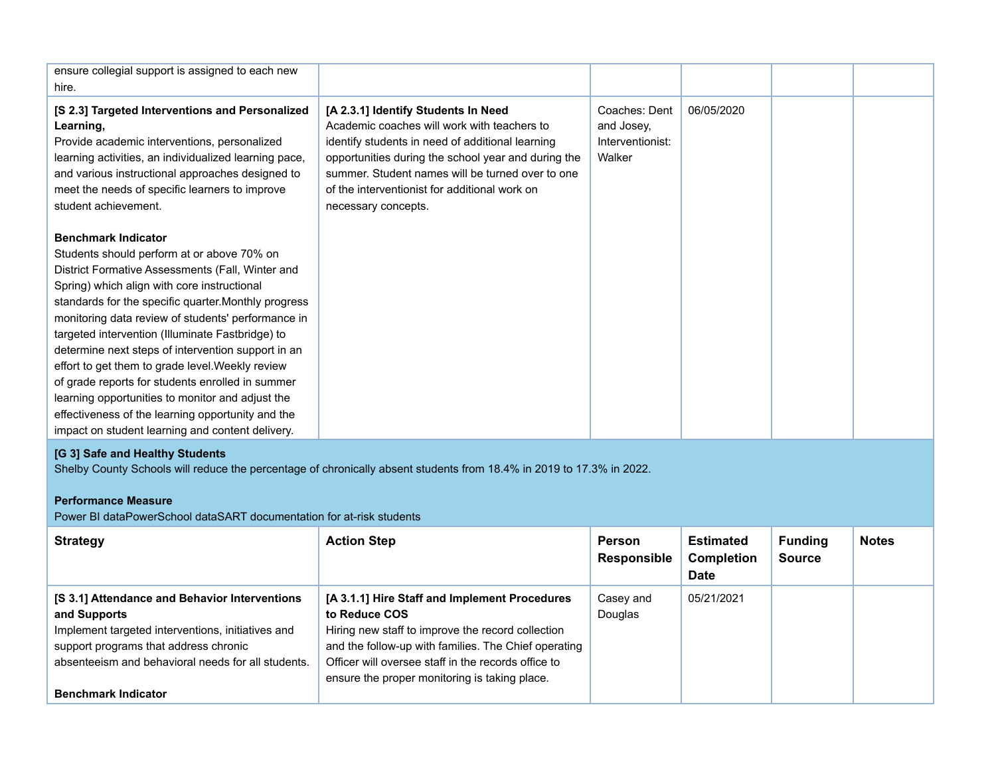| ensure collegial support is assigned to each new<br>hire.                                                                                                                                                                                                                                                                                                                                                                                                                                                                                                                                                                                                                |                                                                                                                                                                                                                                                                                                                           |                                                           |            |  |
|--------------------------------------------------------------------------------------------------------------------------------------------------------------------------------------------------------------------------------------------------------------------------------------------------------------------------------------------------------------------------------------------------------------------------------------------------------------------------------------------------------------------------------------------------------------------------------------------------------------------------------------------------------------------------|---------------------------------------------------------------------------------------------------------------------------------------------------------------------------------------------------------------------------------------------------------------------------------------------------------------------------|-----------------------------------------------------------|------------|--|
| [S 2.3] Targeted Interventions and Personalized<br>Learning,<br>Provide academic interventions, personalized<br>learning activities, an individualized learning pace,<br>and various instructional approaches designed to<br>meet the needs of specific learners to improve<br>student achievement.                                                                                                                                                                                                                                                                                                                                                                      | [A 2.3.1] Identify Students In Need<br>Academic coaches will work with teachers to<br>identify students in need of additional learning<br>opportunities during the school year and during the<br>summer. Student names will be turned over to one<br>of the interventionist for additional work on<br>necessary concepts. | Coaches: Dent<br>and Josey,<br>Interventionist:<br>Walker | 06/05/2020 |  |
| <b>Benchmark Indicator</b><br>Students should perform at or above 70% on<br>District Formative Assessments (Fall, Winter and<br>Spring) which align with core instructional<br>standards for the specific quarter. Monthly progress<br>monitoring data review of students' performance in<br>targeted intervention (Illuminate Fastbridge) to<br>determine next steps of intervention support in an<br>effort to get them to grade level. Weekly review<br>of grade reports for students enrolled in summer<br>learning opportunities to monitor and adjust the<br>effectiveness of the learning opportunity and the<br>impact on student learning and content delivery. |                                                                                                                                                                                                                                                                                                                           |                                                           |            |  |

# **[G 3] Safe and Healthy Students**

Shelby County Schools will reduce the percentage of chronically absent students from 18.4% in 2019 to 17.3% in 2022.

## **Performance Measure**

Power BI dataPowerSchool dataSART documentation for at-risk students

| <b>Strategy</b>                                                                                                                                                                                                                                 | <b>Action Step</b>                                                                                                                                                                                                                                                                  | Person<br>Responsible | Estimated<br><b>Completion</b><br><b>Date</b> | <b>Funding</b><br><b>Source</b> | <b>Notes</b> |
|-------------------------------------------------------------------------------------------------------------------------------------------------------------------------------------------------------------------------------------------------|-------------------------------------------------------------------------------------------------------------------------------------------------------------------------------------------------------------------------------------------------------------------------------------|-----------------------|-----------------------------------------------|---------------------------------|--------------|
| [S 3.1] Attendance and Behavior Interventions<br>and Supports<br>Implement targeted interventions, initiatives and<br>support programs that address chronic<br>absenteeism and behavioral needs for all students.<br><b>Benchmark Indicator</b> | [A 3.1.1] Hire Staff and Implement Procedures<br>to Reduce COS<br>Hiring new staff to improve the record collection<br>and the follow-up with families. The Chief operating<br>Officer will oversee staff in the records office to<br>ensure the proper monitoring is taking place. | Casey and<br>Douglas  | 05/21/2021                                    |                                 |              |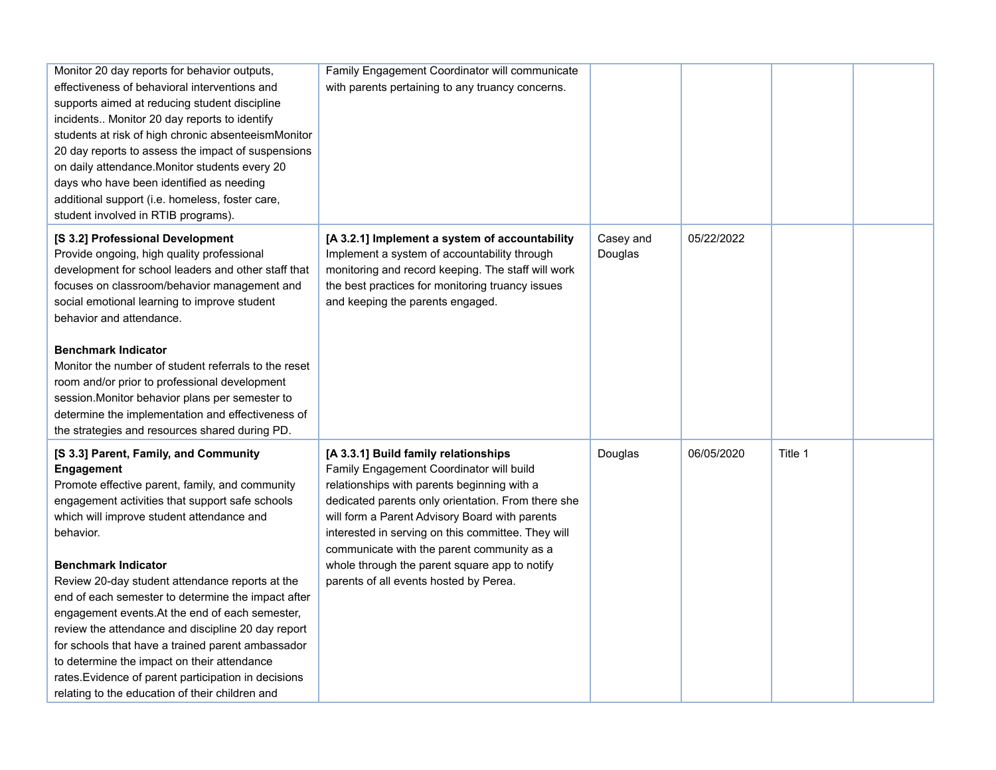| Monitor 20 day reports for behavior outputs,<br>effectiveness of behavioral interventions and<br>supports aimed at reducing student discipline<br>incidents Monitor 20 day reports to identify<br>students at risk of high chronic absenteeismMonitor<br>20 day reports to assess the impact of suspensions<br>on daily attendance. Monitor students every 20<br>days who have been identified as needing<br>additional support (i.e. homeless, foster care,<br>student involved in RTIB programs).                                                                                                                                                                                | Family Engagement Coordinator will communicate<br>with parents pertaining to any truancy concerns.                                                                                                                                                                                                                                                                                                                                     |                      |            |         |  |
|------------------------------------------------------------------------------------------------------------------------------------------------------------------------------------------------------------------------------------------------------------------------------------------------------------------------------------------------------------------------------------------------------------------------------------------------------------------------------------------------------------------------------------------------------------------------------------------------------------------------------------------------------------------------------------|----------------------------------------------------------------------------------------------------------------------------------------------------------------------------------------------------------------------------------------------------------------------------------------------------------------------------------------------------------------------------------------------------------------------------------------|----------------------|------------|---------|--|
| [S 3.2] Professional Development<br>Provide ongoing, high quality professional<br>development for school leaders and other staff that<br>focuses on classroom/behavior management and<br>social emotional learning to improve student<br>behavior and attendance.<br><b>Benchmark Indicator</b><br>Monitor the number of student referrals to the reset<br>room and/or prior to professional development<br>session. Monitor behavior plans per semester to<br>determine the implementation and effectiveness of<br>the strategies and resources shared during PD.                                                                                                                 | [A 3.2.1] Implement a system of accountability<br>Implement a system of accountability through<br>monitoring and record keeping. The staff will work<br>the best practices for monitoring truancy issues<br>and keeping the parents engaged.                                                                                                                                                                                           | Casey and<br>Douglas | 05/22/2022 |         |  |
| [S 3.3] Parent, Family, and Community<br>Engagement<br>Promote effective parent, family, and community<br>engagement activities that support safe schools<br>which will improve student attendance and<br>behavior.<br><b>Benchmark Indicator</b><br>Review 20-day student attendance reports at the<br>end of each semester to determine the impact after<br>engagement events. At the end of each semester,<br>review the attendance and discipline 20 day report<br>for schools that have a trained parent ambassador<br>to determine the impact on their attendance<br>rates. Evidence of parent participation in decisions<br>relating to the education of their children and | [A 3.3.1] Build family relationships<br>Family Engagement Coordinator will build<br>relationships with parents beginning with a<br>dedicated parents only orientation. From there she<br>will form a Parent Advisory Board with parents<br>interested in serving on this committee. They will<br>communicate with the parent community as a<br>whole through the parent square app to notify<br>parents of all events hosted by Perea. | Douglas              | 06/05/2020 | Title 1 |  |